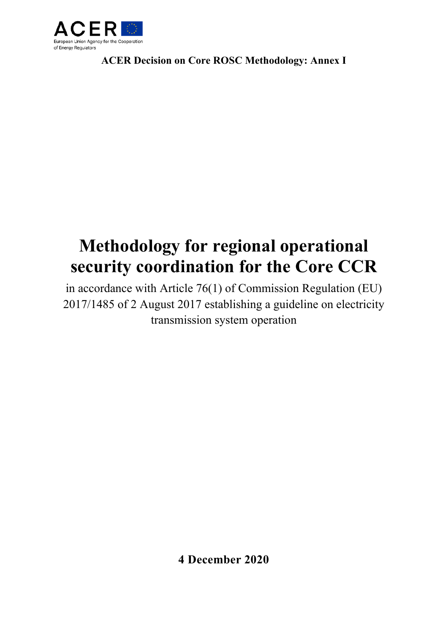

**ACER Decision on Core ROSC Methodology: Annex I** 

# **Methodology for regional operational security coordination for the Core CCR**

in accordance with Article 76(1) of Commission Regulation (EU) 2017/1485 of 2 August 2017 establishing a guideline on electricity transmission system operation

**4 December 2020**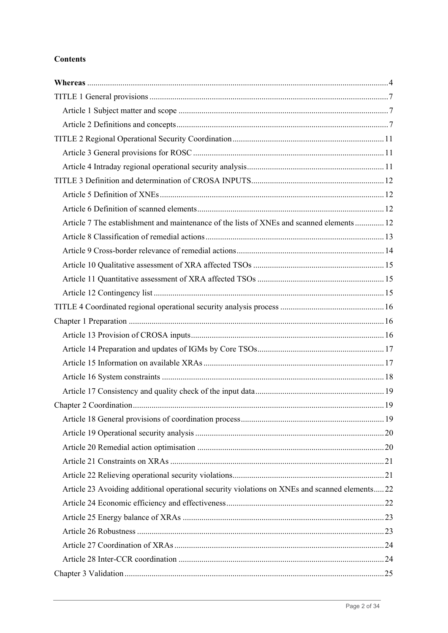# **Contents**

| Article 7 The establishment and maintenance of the lists of XNEs and scanned elements 12      |  |
|-----------------------------------------------------------------------------------------------|--|
|                                                                                               |  |
|                                                                                               |  |
|                                                                                               |  |
|                                                                                               |  |
|                                                                                               |  |
|                                                                                               |  |
|                                                                                               |  |
|                                                                                               |  |
|                                                                                               |  |
|                                                                                               |  |
|                                                                                               |  |
|                                                                                               |  |
|                                                                                               |  |
|                                                                                               |  |
|                                                                                               |  |
|                                                                                               |  |
|                                                                                               |  |
|                                                                                               |  |
| Article 23 Avoiding additional operational security violations on XNEs and scanned elements22 |  |
|                                                                                               |  |
|                                                                                               |  |
|                                                                                               |  |
|                                                                                               |  |
|                                                                                               |  |
|                                                                                               |  |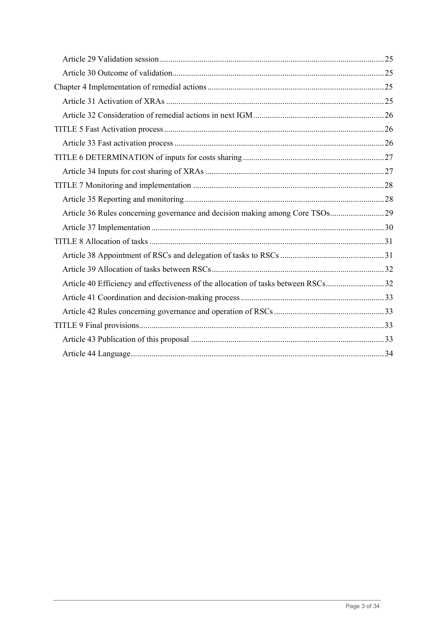| Article 40 Efficiency and effectiveness of the allocation of tasks between RSCs32 |  |
|-----------------------------------------------------------------------------------|--|
|                                                                                   |  |
|                                                                                   |  |
|                                                                                   |  |
|                                                                                   |  |
|                                                                                   |  |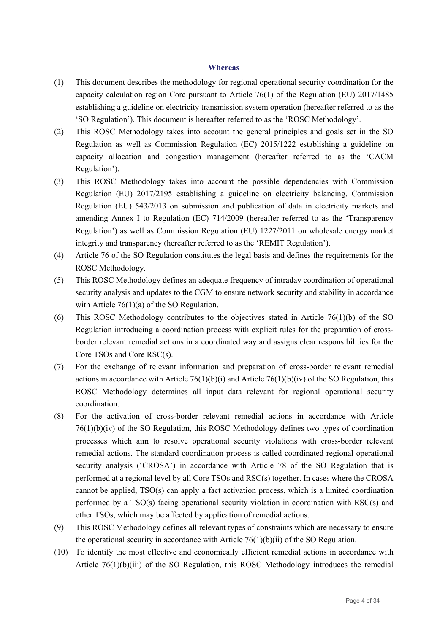#### **Whereas**

- (1) This document describes the methodology for regional operational security coordination for the capacity calculation region Core pursuant to Article 76(1) of the Regulation (EU) 2017/1485 establishing a guideline on electricity transmission system operation (hereafter referred to as the 'SO Regulation'). This document is hereafter referred to as the 'ROSC Methodology'.
- (2) This ROSC Methodology takes into account the general principles and goals set in the SO Regulation as well as Commission Regulation (EC) 2015/1222 establishing a guideline on capacity allocation and congestion management (hereafter referred to as the 'CACM Regulation').
- (3) This ROSC Methodology takes into account the possible dependencies with Commission Regulation (EU) 2017/2195 establishing a guideline on electricity balancing, Commission Regulation (EU) 543/2013 on submission and publication of data in electricity markets and amending Annex I to Regulation (EC) 714/2009 (hereafter referred to as the 'Transparency Regulation') as well as Commission Regulation (EU) 1227/2011 on wholesale energy market integrity and transparency (hereafter referred to as the 'REMIT Regulation').
- (4) Article 76 of the SO Regulation constitutes the legal basis and defines the requirements for the ROSC Methodology.
- (5) This ROSC Methodology defines an adequate frequency of intraday coordination of operational security analysis and updates to the CGM to ensure network security and stability in accordance with Article 76(1)(a) of the SO Regulation.
- (6) This ROSC Methodology contributes to the objectives stated in Article 76(1)(b) of the SO Regulation introducing a coordination process with explicit rules for the preparation of crossborder relevant remedial actions in a coordinated way and assigns clear responsibilities for the Core TSOs and Core RSC(s).
- (7) For the exchange of relevant information and preparation of cross-border relevant remedial actions in accordance with Article 76(1)(b)(i) and Article 76(1)(b)(iv) of the SO Regulation, this ROSC Methodology determines all input data relevant for regional operational security coordination.
- (8) For the activation of cross-border relevant remedial actions in accordance with Article 76(1)(b)(iv) of the SO Regulation, this ROSC Methodology defines two types of coordination processes which aim to resolve operational security violations with cross-border relevant remedial actions. The standard coordination process is called coordinated regional operational security analysis ('CROSA') in accordance with Article 78 of the SO Regulation that is performed at a regional level by all Core TSOs and RSC(s) together. In cases where the CROSA cannot be applied, TSO(s) can apply a fact activation process, which is a limited coordination performed by a TSO(s) facing operational security violation in coordination with RSC(s) and other TSOs, which may be affected by application of remedial actions.
- (9) This ROSC Methodology defines all relevant types of constraints which are necessary to ensure the operational security in accordance with Article  $76(1)(b)(ii)$  of the SO Regulation.
- (10) To identify the most effective and economically efficient remedial actions in accordance with Article 76(1)(b)(iii) of the SO Regulation, this ROSC Methodology introduces the remedial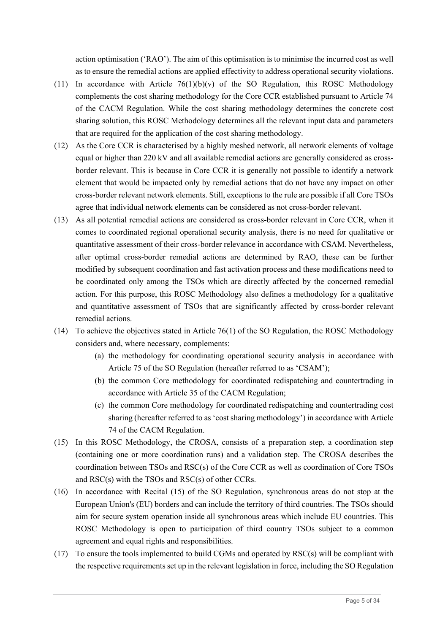action optimisation ('RAO'). The aim of this optimisation is to minimise the incurred cost as well as to ensure the remedial actions are applied effectivity to address operational security violations.

- (11) In accordance with Article  $76(1)(b)(v)$  of the SO Regulation, this ROSC Methodology complements the cost sharing methodology for the Core CCR established pursuant to Article 74 of the CACM Regulation. While the cost sharing methodology determines the concrete cost sharing solution, this ROSC Methodology determines all the relevant input data and parameters that are required for the application of the cost sharing methodology.
- (12) As the Core CCR is characterised by a highly meshed network, all network elements of voltage equal or higher than 220 kV and all available remedial actions are generally considered as crossborder relevant. This is because in Core CCR it is generally not possible to identify a network element that would be impacted only by remedial actions that do not have any impact on other cross-border relevant network elements. Still, exceptions to the rule are possible if all Core TSOs agree that individual network elements can be considered as not cross-border relevant.
- (13) As all potential remedial actions are considered as cross-border relevant in Core CCR, when it comes to coordinated regional operational security analysis, there is no need for qualitative or quantitative assessment of their cross-border relevance in accordance with CSAM. Nevertheless, after optimal cross-border remedial actions are determined by RAO, these can be further modified by subsequent coordination and fast activation process and these modifications need to be coordinated only among the TSOs which are directly affected by the concerned remedial action. For this purpose, this ROSC Methodology also defines a methodology for a qualitative and quantitative assessment of TSOs that are significantly affected by cross-border relevant remedial actions.
- (14) To achieve the objectives stated in Article 76(1) of the SO Regulation, the ROSC Methodology considers and, where necessary, complements:
	- (a) the methodology for coordinating operational security analysis in accordance with Article 75 of the SO Regulation (hereafter referred to as 'CSAM');
	- (b) the common Core methodology for coordinated redispatching and countertrading in accordance with Article 35 of the CACM Regulation;
	- (c) the common Core methodology for coordinated redispatching and countertrading cost sharing (hereafter referred to as 'cost sharing methodology') in accordance with Article 74 of the CACM Regulation.
- (15) In this ROSC Methodology, the CROSA, consists of a preparation step, a coordination step (containing one or more coordination runs) and a validation step. The CROSA describes the coordination between TSOs and RSC(s) of the Core CCR as well as coordination of Core TSOs and RSC(s) with the TSOs and RSC(s) of other CCRs.
- (16) In accordance with Recital (15) of the SO Regulation, synchronous areas do not stop at the European Union's (EU) borders and can include the territory of third countries. The TSOs should aim for secure system operation inside all synchronous areas which include EU countries. This ROSC Methodology is open to participation of third country TSOs subject to a common agreement and equal rights and responsibilities.
- (17) To ensure the tools implemented to build CGMs and operated by RSC(s) will be compliant with the respective requirements set up in the relevant legislation in force, including the SO Regulation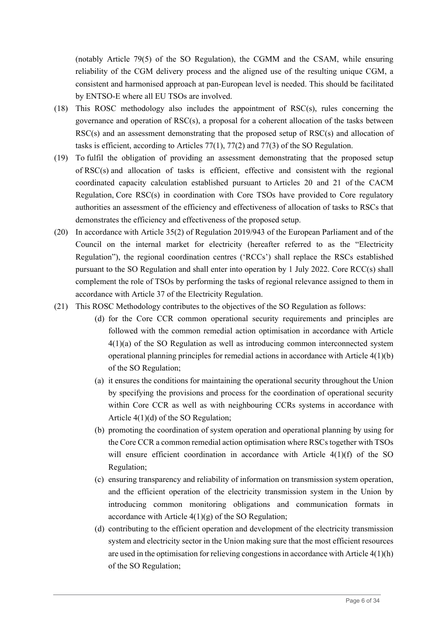(notably Article 79(5) of the SO Regulation), the CGMM and the CSAM, while ensuring reliability of the CGM delivery process and the aligned use of the resulting unique CGM, a consistent and harmonised approach at pan-European level is needed. This should be facilitated by ENTSO-E where all EU TSOs are involved.

- (18) This ROSC methodology also includes the appointment of RSC(s), rules concerning the governance and operation of RSC(s), a proposal for a coherent allocation of the tasks between RSC(s) and an assessment demonstrating that the proposed setup of RSC(s) and allocation of tasks is efficient, according to Articles 77(1), 77(2) and 77(3) of the SO Regulation.
- (19) To fulfil the obligation of providing an assessment demonstrating that the proposed setup of RSC(s) and allocation of tasks is efficient, effective and consistent with the regional coordinated capacity calculation established pursuant to Articles 20 and 21 of the CACM Regulation, Core RSC(s) in coordination with Core TSOs have provided to Core regulatory authorities an assessment of the efficiency and effectiveness of allocation of tasks to RSCs that demonstrates the efficiency and effectiveness of the proposed setup.
- (20) In accordance with Article 35(2) of Regulation 2019/943 of the European Parliament and of the Council on the internal market for electricity (hereafter referred to as the "Electricity Regulation"), the regional coordination centres ('RCCs') shall replace the RSCs established pursuant to the SO Regulation and shall enter into operation by 1 July 2022. Core RCC(s) shall complement the role of TSOs by performing the tasks of regional relevance assigned to them in accordance with Article 37 of the Electricity Regulation.
- (21) This ROSC Methodology contributes to the objectives of the SO Regulation as follows:
	- (d) for the Core CCR common operational security requirements and principles are followed with the common remedial action optimisation in accordance with Article 4(1)(a) of the SO Regulation as well as introducing common interconnected system operational planning principles for remedial actions in accordance with Article  $4(1)(b)$ of the SO Regulation;
	- (a) it ensures the conditions for maintaining the operational security throughout the Union by specifying the provisions and process for the coordination of operational security within Core CCR as well as with neighbouring CCRs systems in accordance with Article 4(1)(d) of the SO Regulation;
	- (b) promoting the coordination of system operation and operational planning by using for the Core CCR a common remedial action optimisation where RSCs together with TSOs will ensure efficient coordination in accordance with Article 4(1)(f) of the SO Regulation;
	- (c) ensuring transparency and reliability of information on transmission system operation, and the efficient operation of the electricity transmission system in the Union by introducing common monitoring obligations and communication formats in accordance with Article  $4(1)(g)$  of the SO Regulation;
	- (d) contributing to the efficient operation and development of the electricity transmission system and electricity sector in the Union making sure that the most efficient resources are used in the optimisation for relieving congestions in accordance with Article 4(1)(h) of the SO Regulation;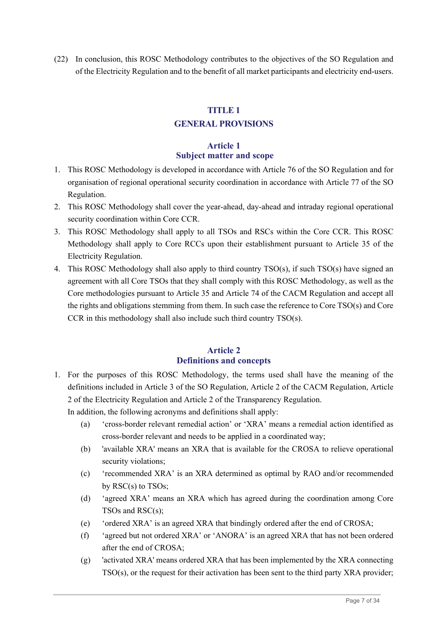(22) In conclusion, this ROSC Methodology contributes to the objectives of the SO Regulation and of the Electricity Regulation and to the benefit of all market participants and electricity end-users.

# **TITLE 1**

# **GENERAL PROVISIONS**

# **Article 1 Subject matter and scope**

- 1. This ROSC Methodology is developed in accordance with Article 76 of the SO Regulation and for organisation of regional operational security coordination in accordance with Article 77 of the SO Regulation.
- 2. This ROSC Methodology shall cover the year-ahead, day-ahead and intraday regional operational security coordination within Core CCR.
- 3. This ROSC Methodology shall apply to all TSOs and RSCs within the Core CCR. This ROSC Methodology shall apply to Core RCCs upon their establishment pursuant to Article 35 of the Electricity Regulation.
- 4. This ROSC Methodology shall also apply to third country TSO(s), if such TSO(s) have signed an agreement with all Core TSOs that they shall comply with this ROSC Methodology, as well as the Core methodologies pursuant to Article 35 and Article 74 of the CACM Regulation and accept all the rights and obligations stemming from them. In such case the reference to Core TSO(s) and Core CCR in this methodology shall also include such third country TSO(s).

#### **Article 2 Definitions and concepts**

1. For the purposes of this ROSC Methodology, the terms used shall have the meaning of the definitions included in Article 3 of the SO Regulation, Article 2 of the CACM Regulation, Article 2 of the Electricity Regulation and Article 2 of the Transparency Regulation.

In addition, the following acronyms and definitions shall apply:

- (a) 'cross-border relevant remedial action' or 'XRA' means a remedial action identified as cross-border relevant and needs to be applied in a coordinated way;
- (b) 'available XRA' means an XRA that is available for the CROSA to relieve operational security violations;
- (c) 'recommended XRA' is an XRA determined as optimal by RAO and/or recommended by RSC(s) to TSOs;
- (d) 'agreed XRA' means an XRA which has agreed during the coordination among Core TSOs and RSC(s);
- (e) 'ordered XRA' is an agreed XRA that bindingly ordered after the end of CROSA;
- (f) 'agreed but not ordered XRA' or 'ANORA' is an agreed XRA that has not been ordered after the end of CROSA;
- (g) 'activated XRA' means ordered XRA that has been implemented by the XRA connecting TSO(s), or the request for their activation has been sent to the third party XRA provider;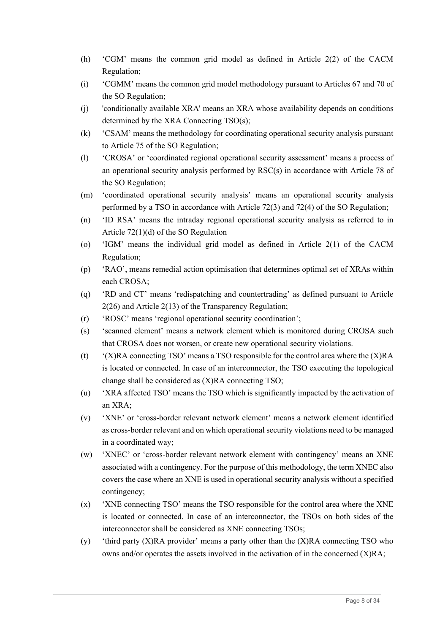- (h) 'CGM' means the common grid model as defined in Article 2(2) of the CACM Regulation;
- (i) 'CGMM' means the common grid model methodology pursuant to Articles 67 and 70 of the SO Regulation;
- (j) 'conditionally available XRA' means an XRA whose availability depends on conditions determined by the XRA Connecting TSO(s);
- (k) 'CSAM' means the methodology for coordinating operational security analysis pursuant to Article 75 of the SO Regulation;
- (l) 'CROSA' or 'coordinated regional operational security assessment' means a process of an operational security analysis performed by RSC(s) in accordance with Article 78 of the SO Regulation;
- (m) 'coordinated operational security analysis' means an operational security analysis performed by a TSO in accordance with Article 72(3) and 72(4) of the SO Regulation;
- (n) 'ID RSA' means the intraday regional operational security analysis as referred to in Article 72(1)(d) of the SO Regulation
- (o) 'IGM' means the individual grid model as defined in Article 2(1) of the CACM Regulation;
- (p) 'RAO', means remedial action optimisation that determines optimal set of XRAs within each CROSA;
- (q) 'RD and CT' means 'redispatching and countertrading' as defined pursuant to Article 2(26) and Article 2(13) of the Transparency Regulation;
- (r) 'ROSC' means 'regional operational security coordination';
- (s) 'scanned element' means a network element which is monitored during CROSA such that CROSA does not worsen, or create new operational security violations.
- (t) '(X)RA connecting TSO' means a TSO responsible for the control area where the (X)RA is located or connected. In case of an interconnector, the TSO executing the topological change shall be considered as (X)RA connecting TSO;
- (u) 'XRA affected TSO' means the TSO which is significantly impacted by the activation of an XRA;
- (v) 'XNE' or 'cross-border relevant network element' means a network element identified as cross-border relevant and on which operational security violations need to be managed in a coordinated way;
- (w) 'XNEC' or 'cross-border relevant network element with contingency' means an XNE associated with a contingency. For the purpose of this methodology, the term XNEC also covers the case where an XNE is used in operational security analysis without a specified contingency;
- (x) 'XNE connecting TSO' means the TSO responsible for the control area where the XNE is located or connected. In case of an interconnector, the TSOs on both sides of the interconnector shall be considered as XNE connecting TSOs;
- $(y)$  'third party  $(X)RA$  provider' means a party other than the  $(X)RA$  connecting TSO who owns and/or operates the assets involved in the activation of in the concerned  $(X)RA$ ;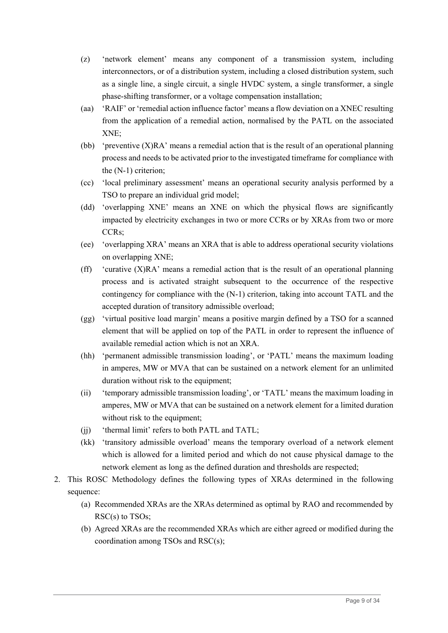- (z) 'network element' means any component of a transmission system, including interconnectors, or of a distribution system, including a closed distribution system, such as a single line, a single circuit, a single HVDC system, a single transformer, a single phase-shifting transformer, or a voltage compensation installation;
- (aa) 'RAIF' or 'remedial action influence factor' means a flow deviation on a XNEC resulting from the application of a remedial action, normalised by the PATL on the associated XNE;
- (bb) 'preventive  $(X)RA$ ' means a remedial action that is the result of an operational planning process and needs to be activated prior to the investigated timeframe for compliance with the (N-1) criterion;
- (cc) 'local preliminary assessment' means an operational security analysis performed by a TSO to prepare an individual grid model;
- (dd) 'overlapping XNE' means an XNE on which the physical flows are significantly impacted by electricity exchanges in two or more CCRs or by XRAs from two or more CCRs;
- (ee) 'overlapping XRA' means an XRA that is able to address operational security violations on overlapping XNE;
- (ff) 'curative (X)RA' means a remedial action that is the result of an operational planning process and is activated straight subsequent to the occurrence of the respective contingency for compliance with the (N-1) criterion, taking into account TATL and the accepted duration of transitory admissible overload;
- (gg) 'virtual positive load margin' means a positive margin defined by a TSO for a scanned element that will be applied on top of the PATL in order to represent the influence of available remedial action which is not an XRA.
- (hh) 'permanent admissible transmission loading', or 'PATL' means the maximum loading in amperes, MW or MVA that can be sustained on a network element for an unlimited duration without risk to the equipment;
- (ii) 'temporary admissible transmission loading', or 'TATL' means the maximum loading in amperes, MW or MVA that can be sustained on a network element for a limited duration without risk to the equipment;
- (jj) 'thermal limit' refers to both PATL and TATL;
- (kk) 'transitory admissible overload' means the temporary overload of a network element which is allowed for a limited period and which do not cause physical damage to the network element as long as the defined duration and thresholds are respected;
- 2. This ROSC Methodology defines the following types of XRAs determined in the following sequence:
	- (a) Recommended XRAs are the XRAs determined as optimal by RAO and recommended by RSC(s) to TSOs;
	- (b) Agreed XRAs are the recommended XRAs which are either agreed or modified during the coordination among TSOs and RSC(s);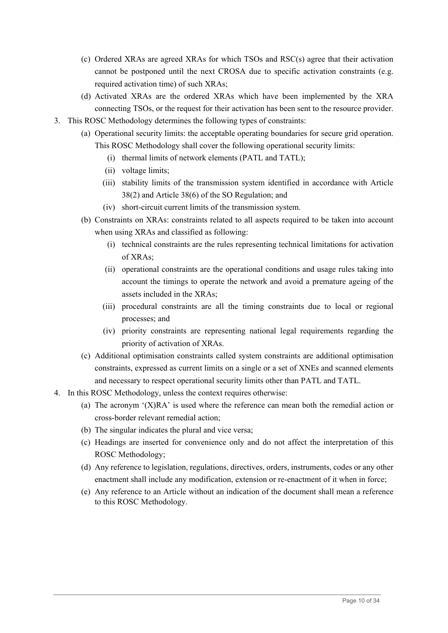- (c) Ordered XRAs are agreed XRAs for which TSOs and RSC(s) agree that their activation cannot be postponed until the next CROSA due to specific activation constraints (e.g. required activation time) of such XRAs;
- (d) Activated XRAs are the ordered XRAs which have been implemented by the XRA connecting TSOs, or the request for their activation has been sent to the resource provider.
- 3. This ROSC Methodology determines the following types of constraints:
	- (a) Operational security limits: the acceptable operating boundaries for secure grid operation. This ROSC Methodology shall cover the following operational security limits:
		- (i) thermal limits of network elements (PATL and TATL);
		- (ii) voltage limits;
		- (iii) stability limits of the transmission system identified in accordance with Article 38(2) and Article 38(6) of the SO Regulation; and
		- (iv) short-circuit current limits of the transmission system.
	- (b) Constraints on XRAs: constraints related to all aspects required to be taken into account when using XRAs and classified as following:
		- (i) technical constraints are the rules representing technical limitations for activation of XRAs;
		- (ii) operational constraints are the operational conditions and usage rules taking into account the timings to operate the network and avoid a premature ageing of the assets included in the XRAs;
		- (iii) procedural constraints are all the timing constraints due to local or regional processes; and
		- (iv) priority constraints are representing national legal requirements regarding the priority of activation of XRAs.
	- (c) Additional optimisation constraints called system constraints are additional optimisation constraints, expressed as current limits on a single or a set of XNEs and scanned elements and necessary to respect operational security limits other than PATL and TATL.
- 4. In this ROSC Methodology, unless the context requires otherwise:
	- (a) The acronym '(X)RA' is used where the reference can mean both the remedial action or cross-border relevant remedial action;
	- (b) The singular indicates the plural and vice versa;
	- (c) Headings are inserted for convenience only and do not affect the interpretation of this ROSC Methodology;
	- (d) Any reference to legislation, regulations, directives, orders, instruments, codes or any other enactment shall include any modification, extension or re-enactment of it when in force;
	- (e) Any reference to an Article without an indication of the document shall mean a reference to this ROSC Methodology.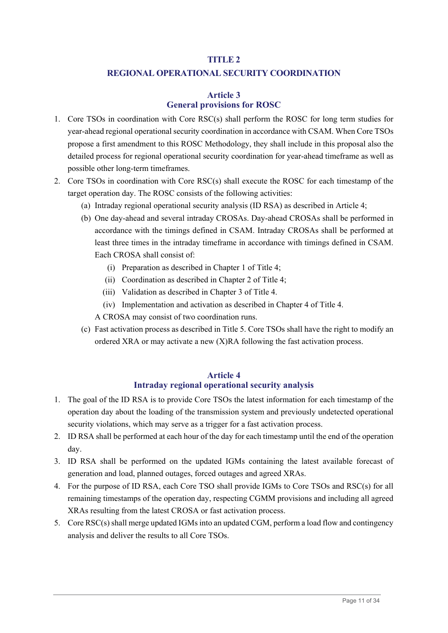# **TITLE 2**

# **REGIONAL OPERATIONAL SECURITY COORDINATION**

# **Article 3 General provisions for ROSC**

- 1. Core TSOs in coordination with Core RSC(s) shall perform the ROSC for long term studies for year-ahead regional operational security coordination in accordance with CSAM. When Core TSOs propose a first amendment to this ROSC Methodology, they shall include in this proposal also the detailed process for regional operational security coordination for year-ahead timeframe as well as possible other long-term timeframes.
- 2. Core TSOs in coordination with Core RSC(s) shall execute the ROSC for each timestamp of the target operation day. The ROSC consists of the following activities:
	- (a) Intraday regional operational security analysis (ID RSA) as described in Article 4;
	- (b) One day-ahead and several intraday CROSAs. Day-ahead CROSAs shall be performed in accordance with the timings defined in CSAM. Intraday CROSAs shall be performed at least three times in the intraday timeframe in accordance with timings defined in CSAM. Each CROSA shall consist of:
		- (i) Preparation as described in Chapter 1 of Title 4;
		- (ii) Coordination as described in Chapter 2 of Title 4;
		- (iii) Validation as described in Chapter 3 of Title 4.
		- (iv) Implementation and activation as described in Chapter 4 of Title 4.

A CROSA may consist of two coordination runs.

(c) Fast activation process as described in Title 5. Core TSOs shall have the right to modify an ordered XRA or may activate a new (X)RA following the fast activation process.

#### **Article 4**

# **Intraday regional operational security analysis**

- 1. The goal of the ID RSA is to provide Core TSOs the latest information for each timestamp of the operation day about the loading of the transmission system and previously undetected operational security violations, which may serve as a trigger for a fast activation process.
- 2. ID RSA shall be performed at each hour of the day for each timestamp until the end of the operation day.
- 3. ID RSA shall be performed on the updated IGMs containing the latest available forecast of generation and load, planned outages, forced outages and agreed XRAs.
- 4. For the purpose of ID RSA, each Core TSO shall provide IGMs to Core TSOs and RSC(s) for all remaining timestamps of the operation day, respecting CGMM provisions and including all agreed XRAs resulting from the latest CROSA or fast activation process.
- 5. Core RSC(s) shall merge updated IGMs into an updated CGM, perform a load flow and contingency analysis and deliver the results to all Core TSOs.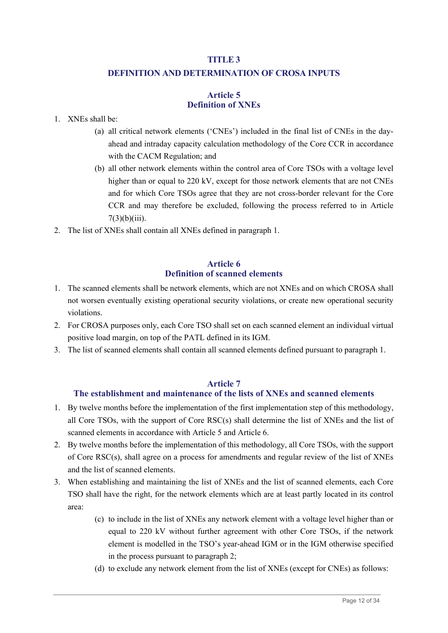#### **TITLE 3**

# **DEFINITION AND DETERMINATION OF CROSA INPUTS**

#### **Article 5 Definition of XNEs**

#### 1. XNEs shall be:

- (a) all critical network elements ('CNEs') included in the final list of CNEs in the dayahead and intraday capacity calculation methodology of the Core CCR in accordance with the CACM Regulation; and
- (b) all other network elements within the control area of Core TSOs with a voltage level higher than or equal to 220 kV, except for those network elements that are not CNEs and for which Core TSOs agree that they are not cross-border relevant for the Core CCR and may therefore be excluded, following the process referred to in Article  $7(3)(b)(iii)$ .
- 2. The list of XNEs shall contain all XNEs defined in paragraph 1.

#### **Article 6 Definition of scanned elements**

- 1. The scanned elements shall be network elements, which are not XNEs and on which CROSA shall not worsen eventually existing operational security violations, or create new operational security violations.
- 2. For CROSA purposes only, each Core TSO shall set on each scanned element an individual virtual positive load margin, on top of the PATL defined in its IGM.
- 3. The list of scanned elements shall contain all scanned elements defined pursuant to paragraph 1.

#### **Article 7**

# **The establishment and maintenance of the lists of XNEs and scanned elements**

- 1. By twelve months before the implementation of the first implementation step of this methodology, all Core TSOs, with the support of Core RSC(s) shall determine the list of XNEs and the list of scanned elements in accordance with Article 5 and Article 6.
- 2. By twelve months before the implementation of this methodology, all Core TSOs, with the support of Core RSC(s), shall agree on a process for amendments and regular review of the list of XNEs and the list of scanned elements.
- 3. When establishing and maintaining the list of XNEs and the list of scanned elements, each Core TSO shall have the right, for the network elements which are at least partly located in its control area:
	- (c) to include in the list of XNEs any network element with a voltage level higher than or equal to 220 kV without further agreement with other Core TSOs, if the network element is modelled in the TSO's year-ahead IGM or in the IGM otherwise specified in the process pursuant to paragraph 2;
	- (d) to exclude any network element from the list of XNEs (except for CNEs) as follows: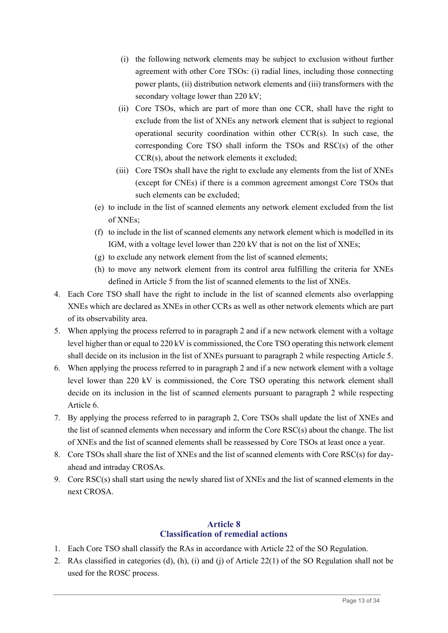- (i) the following network elements may be subject to exclusion without further agreement with other Core TSOs: (i) radial lines, including those connecting power plants, (ii) distribution network elements and (iii) transformers with the secondary voltage lower than 220 kV;
- (ii) Core TSOs, which are part of more than one CCR, shall have the right to exclude from the list of XNEs any network element that is subject to regional operational security coordination within other CCR(s). In such case, the corresponding Core TSO shall inform the TSOs and RSC(s) of the other CCR(s), about the network elements it excluded;
- (iii) Core TSOs shall have the right to exclude any elements from the list of XNEs (except for CNEs) if there is a common agreement amongst Core TSOs that such elements can be excluded;
- (e) to include in the list of scanned elements any network element excluded from the list of XNEs;
- (f) to include in the list of scanned elements any network element which is modelled in its IGM, with a voltage level lower than 220 kV that is not on the list of XNEs;
- (g) to exclude any network element from the list of scanned elements;
- (h) to move any network element from its control area fulfilling the criteria for XNEs defined in Article 5 from the list of scanned elements to the list of XNEs.
- 4. Each Core TSO shall have the right to include in the list of scanned elements also overlapping XNEs which are declared as XNEs in other CCRs as well as other network elements which are part of its observability area.
- 5. When applying the process referred to in paragraph 2 and if a new network element with a voltage level higher than or equal to 220 kV is commissioned, the Core TSO operating this network element shall decide on its inclusion in the list of XNEs pursuant to paragraph 2 while respecting Article 5.
- 6. When applying the process referred to in paragraph 2 and if a new network element with a voltage level lower than 220 kV is commissioned, the Core TSO operating this network element shall decide on its inclusion in the list of scanned elements pursuant to paragraph 2 while respecting Article 6.
- 7. By applying the process referred to in paragraph 2, Core TSOs shall update the list of XNEs and the list of scanned elements when necessary and inform the Core RSC(s) about the change. The list of XNEs and the list of scanned elements shall be reassessed by Core TSOs at least once a year.
- 8. Core TSOs shall share the list of XNEs and the list of scanned elements with Core RSC(s) for dayahead and intraday CROSAs.
- 9. Core RSC(s) shall start using the newly shared list of XNEs and the list of scanned elements in the next CROSA.

# **Article 8 Classification of remedial actions**

- 1. Each Core TSO shall classify the RAs in accordance with Article 22 of the SO Regulation.
- 2. RAs classified in categories (d), (h), (i) and (j) of Article 22(1) of the SO Regulation shall not be used for the ROSC process.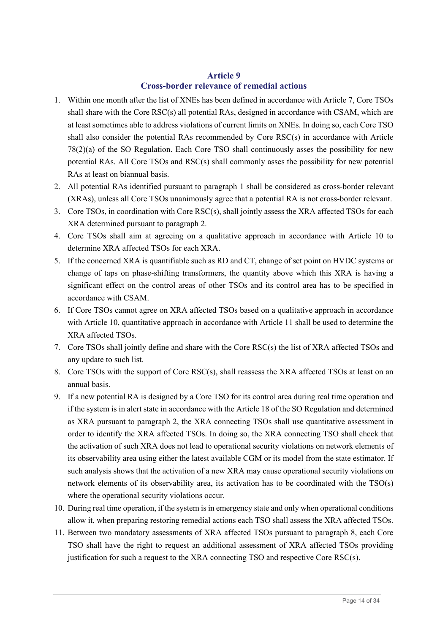#### **Article 9 Cross-border relevance of remedial actions**

- 1. Within one month after the list of XNEs has been defined in accordance with Article 7, Core TSOs shall share with the Core RSC(s) all potential RAs, designed in accordance with CSAM, which are at least sometimes able to address violations of current limits on XNEs. In doing so, each Core TSO shall also consider the potential RAs recommended by Core RSC(s) in accordance with Article 78(2)(a) of the SO Regulation. Each Core TSO shall continuously asses the possibility for new potential RAs. All Core TSOs and RSC(s) shall commonly asses the possibility for new potential RAs at least on biannual basis.
- 2. All potential RAs identified pursuant to paragraph 1 shall be considered as cross-border relevant (XRAs), unless all Core TSOs unanimously agree that a potential RA is not cross-border relevant.
- 3. Core TSOs, in coordination with Core RSC(s), shall jointly assess the XRA affected TSOs for each XRA determined pursuant to paragraph 2.
- 4. Core TSOs shall aim at agreeing on a qualitative approach in accordance with Article 10 to determine XRA affected TSOs for each XRA.
- 5. If the concerned XRA is quantifiable such as RD and CT, change of set point on HVDC systems or change of taps on phase-shifting transformers, the quantity above which this XRA is having a significant effect on the control areas of other TSOs and its control area has to be specified in accordance with CSAM.
- 6. If Core TSOs cannot agree on XRA affected TSOs based on a qualitative approach in accordance with Article 10, quantitative approach in accordance with Article 11 shall be used to determine the XRA affected TSOs.
- 7. Core TSOs shall jointly define and share with the Core RSC(s) the list of XRA affected TSOs and any update to such list.
- 8. Core TSOs with the support of Core RSC(s), shall reassess the XRA affected TSOs at least on an annual basis.
- 9. If a new potential RA is designed by a Core TSO for its control area during real time operation and if the system is in alert state in accordance with the Article 18 of the SO Regulation and determined as XRA pursuant to paragraph 2, the XRA connecting TSOs shall use quantitative assessment in order to identify the XRA affected TSOs. In doing so, the XRA connecting TSO shall check that the activation of such XRA does not lead to operational security violations on network elements of its observability area using either the latest available CGM or its model from the state estimator. If such analysis shows that the activation of a new XRA may cause operational security violations on network elements of its observability area, its activation has to be coordinated with the TSO(s) where the operational security violations occur.
- 10. During real time operation, if the system is in emergency state and only when operational conditions allow it, when preparing restoring remedial actions each TSO shall assess the XRA affected TSOs.
- 11. Between two mandatory assessments of XRA affected TSOs pursuant to paragraph 8, each Core TSO shall have the right to request an additional assessment of XRA affected TSOs providing justification for such a request to the XRA connecting TSO and respective Core RSC(s).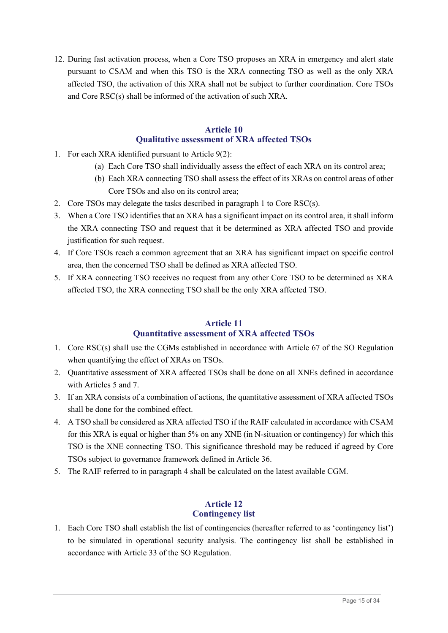12. During fast activation process, when a Core TSO proposes an XRA in emergency and alert state pursuant to CSAM and when this TSO is the XRA connecting TSO as well as the only XRA affected TSO, the activation of this XRA shall not be subject to further coordination. Core TSOs and Core RSC(s) shall be informed of the activation of such XRA.

#### **Article 10 Qualitative assessment of XRA affected TSOs**

- 1. For each XRA identified pursuant to Article 9(2):
	- (a) Each Core TSO shall individually assess the effect of each XRA on its control area;
	- (b) Each XRA connecting TSO shall assess the effect of its XRAs on control areas of other Core TSOs and also on its control area;
- 2. Core TSOs may delegate the tasks described in paragraph 1 to Core RSC(s).
- 3. When a Core TSO identifies that an XRA has a significant impact on its control area, it shall inform the XRA connecting TSO and request that it be determined as XRA affected TSO and provide justification for such request.
- 4. If Core TSOs reach a common agreement that an XRA has significant impact on specific control area, then the concerned TSO shall be defined as XRA affected TSO.
- 5. If XRA connecting TSO receives no request from any other Core TSO to be determined as XRA affected TSO, the XRA connecting TSO shall be the only XRA affected TSO.

# **Article 11 Quantitative assessment of XRA affected TSOs**

- 1. Core RSC(s) shall use the CGMs established in accordance with Article 67 of the SO Regulation when quantifying the effect of XRAs on TSOs.
- 2. Quantitative assessment of XRA affected TSOs shall be done on all XNEs defined in accordance with Articles 5 and 7.
- 3. If an XRA consists of a combination of actions, the quantitative assessment of XRA affected TSOs shall be done for the combined effect.
- 4. A TSO shall be considered as XRA affected TSO if the RAIF calculated in accordance with CSAM for this XRA is equal or higher than 5% on any XNE (in N-situation or contingency) for which this TSO is the XNE connecting TSO. This significance threshold may be reduced if agreed by Core TSOs subject to governance framework defined in Article 36.
- 5. The RAIF referred to in paragraph 4 shall be calculated on the latest available CGM.

# **Article 12 Contingency list**

1. Each Core TSO shall establish the list of contingencies (hereafter referred to as 'contingency list') to be simulated in operational security analysis. The contingency list shall be established in accordance with Article 33 of the SO Regulation.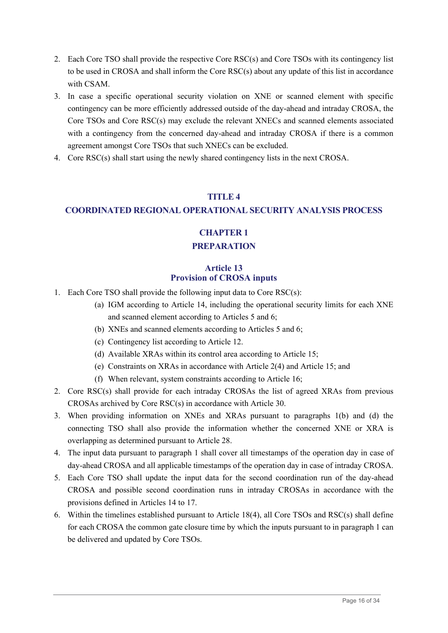- 2. Each Core TSO shall provide the respective Core RSC(s) and Core TSOs with its contingency list to be used in CROSA and shall inform the Core RSC(s) about any update of this list in accordance with CSAM.
- 3. In case a specific operational security violation on XNE or scanned element with specific contingency can be more efficiently addressed outside of the day-ahead and intraday CROSA, the Core TSOs and Core RSC(s) may exclude the relevant XNECs and scanned elements associated with a contingency from the concerned day-ahead and intraday CROSA if there is a common agreement amongst Core TSOs that such XNECs can be excluded.
- 4. Core RSC(s) shall start using the newly shared contingency lists in the next CROSA.

#### **TITLE 4**

# **COORDINATED REGIONAL OPERATIONAL SECURITY ANALYSIS PROCESS**

# **CHAPTER 1**

# **PREPARATION**

# **Article 13 Provision of CROSA inputs**

- 1. Each Core TSO shall provide the following input data to Core RSC(s):
	- (a) IGM according to Article 14, including the operational security limits for each XNE and scanned element according to Articles 5 and 6;
	- (b) XNEs and scanned elements according to Articles 5 and 6;
	- (c) Contingency list according to Article 12.
	- (d) Available XRAs within its control area according to Article 15;
	- (e) Constraints on XRAs in accordance with Article 2(4) and Article 15; and
	- (f) When relevant, system constraints according to Article 16;
- 2. Core RSC(s) shall provide for each intraday CROSAs the list of agreed XRAs from previous CROSAs archived by Core RSC(s) in accordance with Article 30.
- 3. When providing information on XNEs and XRAs pursuant to paragraphs 1(b) and (d) the connecting TSO shall also provide the information whether the concerned XNE or XRA is overlapping as determined pursuant to Article 28.
- 4. The input data pursuant to paragraph 1 shall cover all timestamps of the operation day in case of day-ahead CROSA and all applicable timestamps of the operation day in case of intraday CROSA.
- 5. Each Core TSO shall update the input data for the second coordination run of the day-ahead CROSA and possible second coordination runs in intraday CROSAs in accordance with the provisions defined in Articles 14 to 17.
- 6. Within the timelines established pursuant to Article 18(4), all Core TSOs and RSC(s) shall define for each CROSA the common gate closure time by which the inputs pursuant to in paragraph 1 can be delivered and updated by Core TSOs.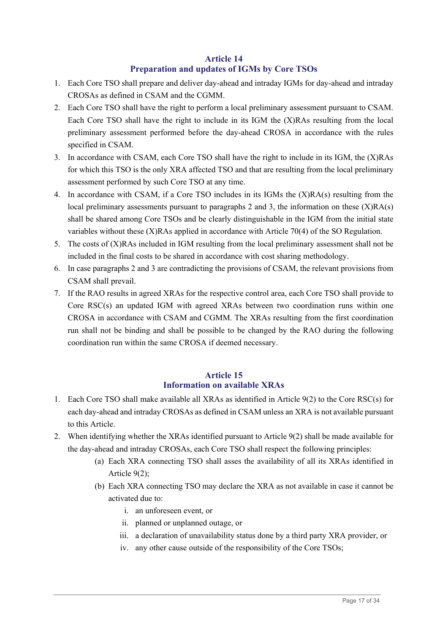# **Article 14 Preparation and updates of IGMs by Core TSOs**

- 1. Each Core TSO shall prepare and deliver day-ahead and intraday IGMs for day-ahead and intraday CROSAs as defined in CSAM and the CGMM.
- 2. Each Core TSO shall have the right to perform a local preliminary assessment pursuant to CSAM. Each Core TSO shall have the right to include in its IGM the (X)RAs resulting from the local preliminary assessment performed before the day-ahead CROSA in accordance with the rules specified in CSAM.
- 3. In accordance with CSAM, each Core TSO shall have the right to include in its IGM, the (X)RAs for which this TSO is the only XRA affected TSO and that are resulting from the local preliminary assessment performed by such Core TSO at any time.
- 4. In accordance with CSAM, if a Core TSO includes in its IGMs the (X)RA(s) resulting from the local preliminary assessments pursuant to paragraphs 2 and 3, the information on these  $(X)RA(s)$ shall be shared among Core TSOs and be clearly distinguishable in the IGM from the initial state variables without these (X)RAs applied in accordance with Article 70(4) of the SO Regulation.
- 5. The costs of (X)RAs included in IGM resulting from the local preliminary assessment shall not be included in the final costs to be shared in accordance with cost sharing methodology.
- 6. In case paragraphs 2 and 3 are contradicting the provisions of CSAM, the relevant provisions from CSAM shall prevail.
- 7. If the RAO results in agreed XRAs for the respective control area, each Core TSO shall provide to Core RSC(s) an updated IGM with agreed XRAs between two coordination runs within one CROSA in accordance with CSAM and CGMM. The XRAs resulting from the first coordination run shall not be binding and shall be possible to be changed by the RAO during the following coordination run within the same CROSA if deemed necessary.

# **Article 15 Information on available XRAs**

- 1. Each Core TSO shall make available all XRAs as identified in Article 9(2) to the Core RSC(s) for each day-ahead and intraday CROSAs as defined in CSAM unless an XRA is not available pursuant to this Article.
- 2. When identifying whether the XRAs identified pursuant to Article 9(2) shall be made available for the day-ahead and intraday CROSAs, each Core TSO shall respect the following principles:
	- (a) Each XRA connecting TSO shall asses the availability of all its XRAs identified in Article 9(2);
	- (b) Each XRA connecting TSO may declare the XRA as not available in case it cannot be activated due to:
		- i. an unforeseen event, or
		- ii. planned or unplanned outage, or
		- iii. a declaration of unavailability status done by a third party XRA provider, or
		- iv. any other cause outside of the responsibility of the Core TSOs;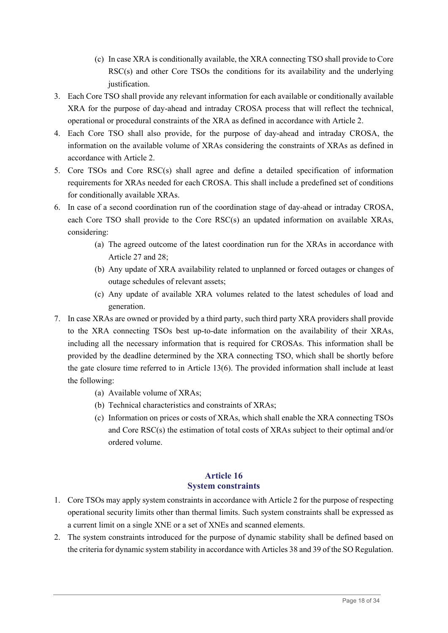- (c) In case XRA is conditionally available, the XRA connecting TSO shall provide to Core RSC(s) and other Core TSOs the conditions for its availability and the underlying justification.
- 3. Each Core TSO shall provide any relevant information for each available or conditionally available XRA for the purpose of day-ahead and intraday CROSA process that will reflect the technical, operational or procedural constraints of the XRA as defined in accordance with Article 2.
- 4. Each Core TSO shall also provide, for the purpose of day-ahead and intraday CROSA, the information on the available volume of XRAs considering the constraints of XRAs as defined in accordance with Article 2.
- 5. Core TSOs and Core RSC(s) shall agree and define a detailed specification of information requirements for XRAs needed for each CROSA. This shall include a predefined set of conditions for conditionally available XRAs.
- 6. In case of a second coordination run of the coordination stage of day-ahead or intraday CROSA, each Core TSO shall provide to the Core RSC(s) an updated information on available XRAs, considering:
	- (a) The agreed outcome of the latest coordination run for the XRAs in accordance with Article 27 and 28;
	- (b) Any update of XRA availability related to unplanned or forced outages or changes of outage schedules of relevant assets;
	- (c) Any update of available XRA volumes related to the latest schedules of load and generation.
- 7. In case XRAs are owned or provided by a third party, such third party XRA providers shall provide to the XRA connecting TSOs best up-to-date information on the availability of their XRAs, including all the necessary information that is required for CROSAs. This information shall be provided by the deadline determined by the XRA connecting TSO, which shall be shortly before the gate closure time referred to in Article 13(6). The provided information shall include at least the following:
	- (a) Available volume of XRAs;
	- (b) Technical characteristics and constraints of XRAs;
	- (c) Information on prices or costs of XRAs, which shall enable the XRA connecting TSOs and Core RSC(s) the estimation of total costs of XRAs subject to their optimal and/or ordered volume.

# **Article 16 System constraints**

- 1. Core TSOs may apply system constraints in accordance with Article 2 for the purpose of respecting operational security limits other than thermal limits. Such system constraints shall be expressed as a current limit on a single XNE or a set of XNEs and scanned elements.
- 2. The system constraints introduced for the purpose of dynamic stability shall be defined based on the criteria for dynamic system stability in accordance with Articles 38 and 39 of the SO Regulation.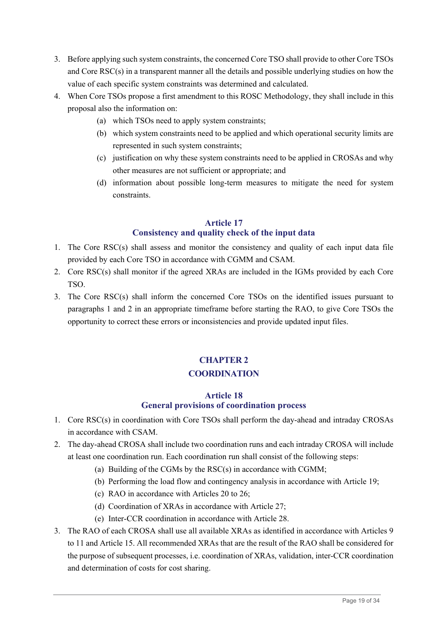- 3. Before applying such system constraints, the concerned Core TSO shall provide to other Core TSOs and Core RSC(s) in a transparent manner all the details and possible underlying studies on how the value of each specific system constraints was determined and calculated.
- 4. When Core TSOs propose a first amendment to this ROSC Methodology, they shall include in this proposal also the information on:
	- (a) which TSOs need to apply system constraints;
	- (b) which system constraints need to be applied and which operational security limits are represented in such system constraints;
	- (c) justification on why these system constraints need to be applied in CROSAs and why other measures are not sufficient or appropriate; and
	- (d) information about possible long-term measures to mitigate the need for system constraints.

# **Article 17 Consistency and quality check of the input data**

- 1. The Core RSC(s) shall assess and monitor the consistency and quality of each input data file provided by each Core TSO in accordance with CGMM and CSAM.
- 2. Core RSC(s) shall monitor if the agreed XRAs are included in the IGMs provided by each Core TSO.
- 3. The Core RSC(s) shall inform the concerned Core TSOs on the identified issues pursuant to paragraphs 1 and 2 in an appropriate timeframe before starting the RAO, to give Core TSOs the opportunity to correct these errors or inconsistencies and provide updated input files.

# **CHAPTER 2 COORDINATION**

# **Article 18 General provisions of coordination process**

- 1. Core RSC(s) in coordination with Core TSOs shall perform the day-ahead and intraday CROSAs in accordance with CSAM.
- 2. The day-ahead CROSA shall include two coordination runs and each intraday CROSA will include at least one coordination run. Each coordination run shall consist of the following steps:
	- (a) Building of the CGMs by the RSC(s) in accordance with CGMM;
	- (b) Performing the load flow and contingency analysis in accordance with Article 19;
	- (c) RAO in accordance with Articles 20 to 26;
	- (d) Coordination of XRAs in accordance with Article 27;
	- (e) Inter-CCR coordination in accordance with Article 28.
- 3. The RAO of each CROSA shall use all available XRAs as identified in accordance with Articles 9 to 11 and Article 15. All recommended XRAs that are the result of the RAO shall be considered for the purpose of subsequent processes, i.e. coordination of XRAs, validation, inter-CCR coordination and determination of costs for cost sharing.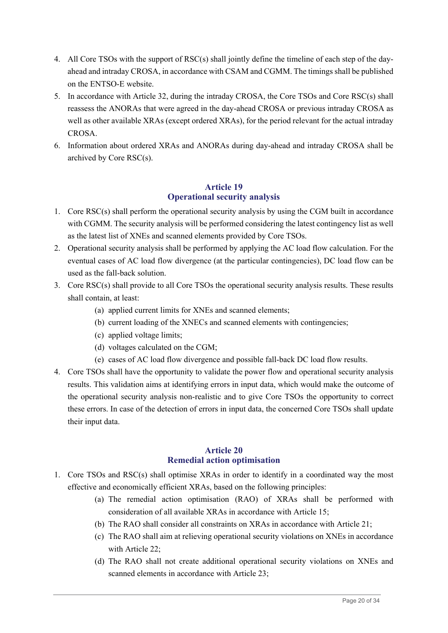- 4. All Core TSOs with the support of RSC(s) shall jointly define the timeline of each step of the dayahead and intraday CROSA, in accordance with CSAM and CGMM. The timings shall be published on the ENTSO-E website.
- 5. In accordance with Article 32, during the intraday CROSA, the Core TSOs and Core RSC(s) shall reassess the ANORAs that were agreed in the day-ahead CROSA or previous intraday CROSA as well as other available XRAs (except ordered XRAs), for the period relevant for the actual intraday CROSA.
- 6. Information about ordered XRAs and ANORAs during day-ahead and intraday CROSA shall be archived by Core RSC(s).

# **Article 19 Operational security analysis**

- 1. Core RSC(s) shall perform the operational security analysis by using the CGM built in accordance with CGMM. The security analysis will be performed considering the latest contingency list as well as the latest list of XNEs and scanned elements provided by Core TSOs.
- 2. Operational security analysis shall be performed by applying the AC load flow calculation. For the eventual cases of AC load flow divergence (at the particular contingencies), DC load flow can be used as the fall-back solution.
- 3. Core RSC(s) shall provide to all Core TSOs the operational security analysis results. These results shall contain, at least:
	- (a) applied current limits for XNEs and scanned elements;
	- (b) current loading of the XNECs and scanned elements with contingencies;
	- (c) applied voltage limits;
	- (d) voltages calculated on the CGM;
	- (e) cases of AC load flow divergence and possible fall-back DC load flow results.
- 4. Core TSOs shall have the opportunity to validate the power flow and operational security analysis results. This validation aims at identifying errors in input data, which would make the outcome of the operational security analysis non-realistic and to give Core TSOs the opportunity to correct these errors. In case of the detection of errors in input data, the concerned Core TSOs shall update their input data.

# **Article 20 Remedial action optimisation**

- 1. Core TSOs and RSC(s) shall optimise XRAs in order to identify in a coordinated way the most effective and economically efficient XRAs, based on the following principles:
	- (a) The remedial action optimisation (RAO) of XRAs shall be performed with consideration of all available XRAs in accordance with Article 15;
	- (b) The RAO shall consider all constraints on XRAs in accordance with Article 21;
	- (c) The RAO shall aim at relieving operational security violations on XNEs in accordance with Article 22;
	- (d) The RAO shall not create additional operational security violations on XNEs and scanned elements in accordance with Article 23;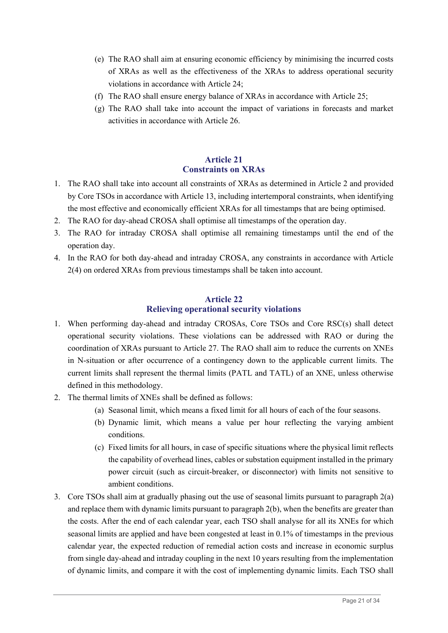- (e) The RAO shall aim at ensuring economic efficiency by minimising the incurred costs of XRAs as well as the effectiveness of the XRAs to address operational security violations in accordance with Article 24;
- (f) The RAO shall ensure energy balance of XRAs in accordance with Article 25;
- (g) The RAO shall take into account the impact of variations in forecasts and market activities in accordance with Article 26.

# **Article 21 Constraints on XRAs**

- 1. The RAO shall take into account all constraints of XRAs as determined in Article 2 and provided by Core TSOs in accordance with Article 13, including intertemporal constraints, when identifying the most effective and economically efficient XRAs for all timestamps that are being optimised.
- 2. The RAO for day-ahead CROSA shall optimise all timestamps of the operation day.
- 3. The RAO for intraday CROSA shall optimise all remaining timestamps until the end of the operation day.
- 4. In the RAO for both day-ahead and intraday CROSA, any constraints in accordance with Article 2(4) on ordered XRAs from previous timestamps shall be taken into account.

# **Article 22 Relieving operational security violations**

- 1. When performing day-ahead and intraday CROSAs, Core TSOs and Core RSC(s) shall detect operational security violations. These violations can be addressed with RAO or during the coordination of XRAs pursuant to Article 27. The RAO shall aim to reduce the currents on XNEs in N-situation or after occurrence of a contingency down to the applicable current limits. The current limits shall represent the thermal limits (PATL and TATL) of an XNE, unless otherwise defined in this methodology.
- 2. The thermal limits of XNEs shall be defined as follows:
	- (a) Seasonal limit, which means a fixed limit for all hours of each of the four seasons.
	- (b) Dynamic limit, which means a value per hour reflecting the varying ambient conditions.
	- (c) Fixed limits for all hours, in case of specific situations where the physical limit reflects the capability of overhead lines, cables or substation equipment installed in the primary power circuit (such as circuit-breaker, or disconnector) with limits not sensitive to ambient conditions.
- 3. Core TSOs shall aim at gradually phasing out the use of seasonal limits pursuant to paragraph 2(a) and replace them with dynamic limits pursuant to paragraph 2(b), when the benefits are greater than the costs. After the end of each calendar year, each TSO shall analyse for all its XNEs for which seasonal limits are applied and have been congested at least in 0.1% of timestamps in the previous calendar year, the expected reduction of remedial action costs and increase in economic surplus from single day-ahead and intraday coupling in the next 10 years resulting from the implementation of dynamic limits, and compare it with the cost of implementing dynamic limits. Each TSO shall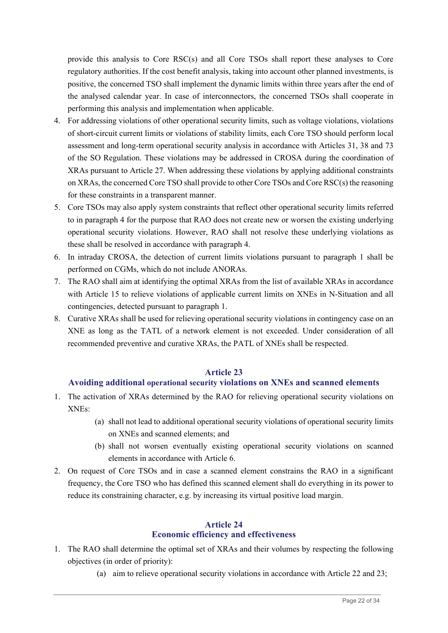provide this analysis to Core RSC(s) and all Core TSOs shall report these analyses to Core regulatory authorities. If the cost benefit analysis, taking into account other planned investments, is positive, the concerned TSO shall implement the dynamic limits within three years after the end of the analysed calendar year. In case of interconnectors, the concerned TSOs shall cooperate in performing this analysis and implementation when applicable.

- 4. For addressing violations of other operational security limits, such as voltage violations, violations of short-circuit current limits or violations of stability limits, each Core TSO should perform local assessment and long-term operational security analysis in accordance with Articles 31, 38 and 73 of the SO Regulation. These violations may be addressed in CROSA during the coordination of XRAs pursuant to Article 27. When addressing these violations by applying additional constraints on XRAs, the concerned Core TSO shall provide to other Core TSOs and Core RSC(s) the reasoning for these constraints in a transparent manner.
- 5. Core TSOs may also apply system constraints that reflect other operational security limits referred to in paragraph 4 for the purpose that RAO does not create new or worsen the existing underlying operational security violations. However, RAO shall not resolve these underlying violations as these shall be resolved in accordance with paragraph 4.
- 6. In intraday CROSA, the detection of current limits violations pursuant to paragraph 1 shall be performed on CGMs, which do not include ANORAs.
- 7. The RAO shall aim at identifying the optimal XRAs from the list of available XRAs in accordance with Article 15 to relieve violations of applicable current limits on XNEs in N-Situation and all contingencies, detected pursuant to paragraph 1.
- 8. Curative XRAs shall be used for relieving operational security violations in contingency case on an XNE as long as the TATL of a network element is not exceeded. Under consideration of all recommended preventive and curative XRAs, the PATL of XNEs shall be respected.

#### **Article 23**

#### **Avoiding additional operational security violations on XNEs and scanned elements**

- 1. The activation of XRAs determined by the RAO for relieving operational security violations on XNEs:
	- (a) shall not lead to additional operational security violations of operational security limits on XNEs and scanned elements; and
	- (b) shall not worsen eventually existing operational security violations on scanned elements in accordance with Article 6.
- 2. On request of Core TSOs and in case a scanned element constrains the RAO in a significant frequency, the Core TSO who has defined this scanned element shall do everything in its power to reduce its constraining character, e.g. by increasing its virtual positive load margin.

#### **Article 24 Economic efficiency and effectiveness**

- 1. The RAO shall determine the optimal set of XRAs and their volumes by respecting the following objectives (in order of priority):
	- (a) aim to relieve operational security violations in accordance with Article 22 and 23;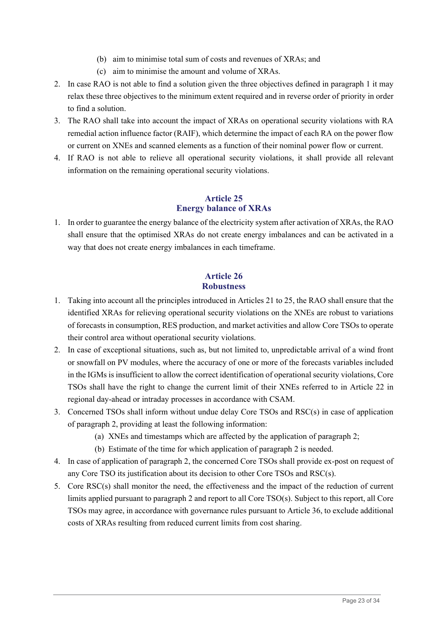- (b) aim to minimise total sum of costs and revenues of XRAs; and
- (c) aim to minimise the amount and volume of XRAs.
- 2. In case RAO is not able to find a solution given the three objectives defined in paragraph 1 it may relax these three objectives to the minimum extent required and in reverse order of priority in order to find a solution.
- 3. The RAO shall take into account the impact of XRAs on operational security violations with RA remedial action influence factor (RAIF), which determine the impact of each RA on the power flow or current on XNEs and scanned elements as a function of their nominal power flow or current.
- 4. If RAO is not able to relieve all operational security violations, it shall provide all relevant information on the remaining operational security violations.

# **Article 25 Energy balance of XRAs**

1. In order to guarantee the energy balance of the electricity system after activation of XRAs, the RAO shall ensure that the optimised XRAs do not create energy imbalances and can be activated in a way that does not create energy imbalances in each timeframe.

# **Article 26 Robustness**

- 1. Taking into account all the principles introduced in Articles 21 to 25, the RAO shall ensure that the identified XRAs for relieving operational security violations on the XNEs are robust to variations of forecasts in consumption, RES production, and market activities and allow Core TSOs to operate their control area without operational security violations.
- 2. In case of exceptional situations, such as, but not limited to, unpredictable arrival of a wind front or snowfall on PV modules, where the accuracy of one or more of the forecasts variables included in the IGMs is insufficient to allow the correct identification of operational security violations, Core TSOs shall have the right to change the current limit of their XNEs referred to in Article 22 in regional day-ahead or intraday processes in accordance with CSAM.
- 3. Concerned TSOs shall inform without undue delay Core TSOs and RSC(s) in case of application of paragraph 2, providing at least the following information:
	- (a) XNEs and timestamps which are affected by the application of paragraph 2;
	- (b) Estimate of the time for which application of paragraph 2 is needed.
- 4. In case of application of paragraph 2, the concerned Core TSOs shall provide ex-post on request of any Core TSO its justification about its decision to other Core TSOs and RSC(s).
- 5. Core RSC(s) shall monitor the need, the effectiveness and the impact of the reduction of current limits applied pursuant to paragraph 2 and report to all Core TSO(s). Subject to this report, all Core TSOs may agree, in accordance with governance rules pursuant to Article 36, to exclude additional costs of XRAs resulting from reduced current limits from cost sharing.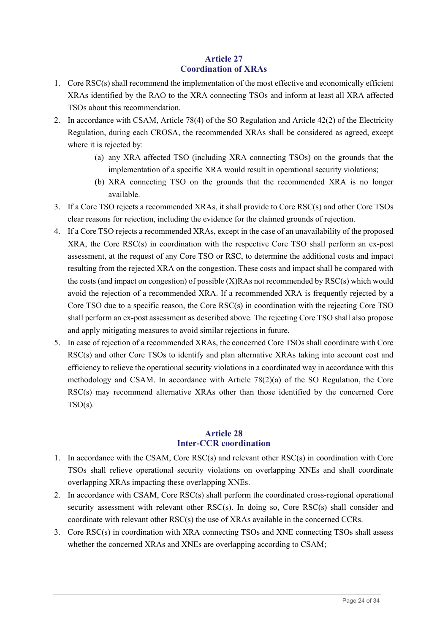# **Article 27 Coordination of XRAs**

- 1. Core RSC(s) shall recommend the implementation of the most effective and economically efficient XRAs identified by the RAO to the XRA connecting TSOs and inform at least all XRA affected TSOs about this recommendation.
- 2. In accordance with CSAM, Article 78(4) of the SO Regulation and Article 42(2) of the Electricity Regulation, during each CROSA, the recommended XRAs shall be considered as agreed, except where it is rejected by:
	- (a) any XRA affected TSO (including XRA connecting TSOs) on the grounds that the implementation of a specific XRA would result in operational security violations;
	- (b) XRA connecting TSO on the grounds that the recommended XRA is no longer available.
- 3. If a Core TSO rejects a recommended XRAs, it shall provide to Core RSC(s) and other Core TSOs clear reasons for rejection, including the evidence for the claimed grounds of rejection.
- 4. If a Core TSO rejects a recommended XRAs, except in the case of an unavailability of the proposed XRA, the Core RSC(s) in coordination with the respective Core TSO shall perform an ex-post assessment, at the request of any Core TSO or RSC, to determine the additional costs and impact resulting from the rejected XRA on the congestion. These costs and impact shall be compared with the costs (and impact on congestion) of possible (X)RAs not recommended by RSC(s) which would avoid the rejection of a recommended XRA. If a recommended XRA is frequently rejected by a Core TSO due to a specific reason, the Core RSC(s) in coordination with the rejecting Core TSO shall perform an ex-post assessment as described above. The rejecting Core TSO shall also propose and apply mitigating measures to avoid similar rejections in future.
- 5. In case of rejection of a recommended XRAs, the concerned Core TSOs shall coordinate with Core RSC(s) and other Core TSOs to identify and plan alternative XRAs taking into account cost and efficiency to relieve the operational security violations in a coordinated way in accordance with this methodology and CSAM. In accordance with Article 78(2)(a) of the SO Regulation, the Core RSC(s) may recommend alternative XRAs other than those identified by the concerned Core  $TSO(s)$ .

#### **Article 28 Inter-CCR coordination**

- 1. In accordance with the CSAM, Core RSC(s) and relevant other RSC(s) in coordination with Core TSOs shall relieve operational security violations on overlapping XNEs and shall coordinate overlapping XRAs impacting these overlapping XNEs.
- 2. In accordance with CSAM, Core RSC(s) shall perform the coordinated cross-regional operational security assessment with relevant other RSC(s). In doing so, Core RSC(s) shall consider and coordinate with relevant other  $RSC(s)$  the use of XRAs available in the concerned CCRs.
- 3. Core RSC(s) in coordination with XRA connecting TSOs and XNE connecting TSOs shall assess whether the concerned XRAs and XNEs are overlapping according to CSAM;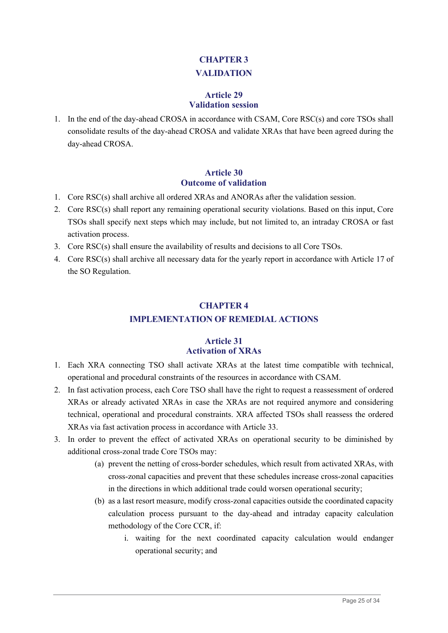# **CHAPTER 3 VALIDATION**

#### **Article 29 Validation session**

1. In the end of the day-ahead CROSA in accordance with CSAM, Core RSC(s) and core TSOs shall consolidate results of the day-ahead CROSA and validate XRAs that have been agreed during the day-ahead CROSA.

# **Article 30 Outcome of validation**

- 1. Core RSC(s) shall archive all ordered XRAs and ANORAs after the validation session.
- 2. Core RSC(s) shall report any remaining operational security violations. Based on this input, Core TSOs shall specify next steps which may include, but not limited to, an intraday CROSA or fast activation process.
- 3. Core RSC(s) shall ensure the availability of results and decisions to all Core TSOs.
- 4. Core RSC(s) shall archive all necessary data for the yearly report in accordance with Article 17 of the SO Regulation.

# **CHAPTER 4**

# **IMPLEMENTATION OF REMEDIAL ACTIONS**

# **Article 31 Activation of XRAs**

- 1. Each XRA connecting TSO shall activate XRAs at the latest time compatible with technical, operational and procedural constraints of the resources in accordance with CSAM.
- 2. In fast activation process, each Core TSO shall have the right to request a reassessment of ordered XRAs or already activated XRAs in case the XRAs are not required anymore and considering technical, operational and procedural constraints. XRA affected TSOs shall reassess the ordered XRAs via fast activation process in accordance with Article 33.
- 3. In order to prevent the effect of activated XRAs on operational security to be diminished by additional cross-zonal trade Core TSOs may:
	- (a) prevent the netting of cross-border schedules, which result from activated XRAs, with cross-zonal capacities and prevent that these schedules increase cross-zonal capacities in the directions in which additional trade could worsen operational security;
	- (b) as a last resort measure, modify cross-zonal capacities outside the coordinated capacity calculation process pursuant to the day-ahead and intraday capacity calculation methodology of the Core CCR, if:
		- i. waiting for the next coordinated capacity calculation would endanger operational security; and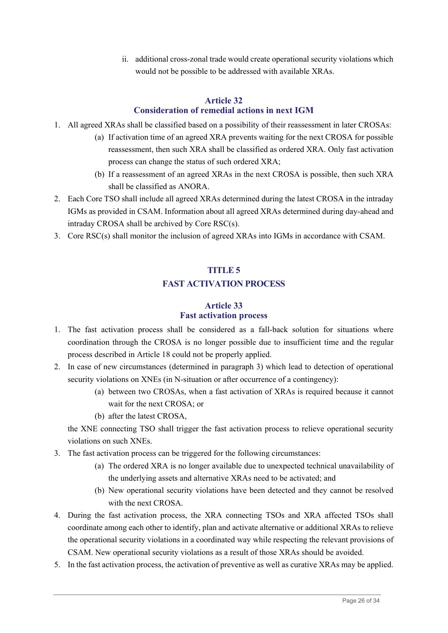ii. additional cross-zonal trade would create operational security violations which would not be possible to be addressed with available XRAs.

#### **Article 32 Consideration of remedial actions in next IGM**

- 1. All agreed XRAs shall be classified based on a possibility of their reassessment in later CROSAs:
	- (a) If activation time of an agreed XRA prevents waiting for the next CROSA for possible reassessment, then such XRA shall be classified as ordered XRA. Only fast activation process can change the status of such ordered XRA;
	- (b) If a reassessment of an agreed XRAs in the next CROSA is possible, then such XRA shall be classified as ANORA.
- 2. Each Core TSO shall include all agreed XRAs determined during the latest CROSA in the intraday IGMs as provided in CSAM. Information about all agreed XRAs determined during day-ahead and intraday CROSA shall be archived by Core RSC(s).
- 3. Core RSC(s) shall monitor the inclusion of agreed XRAs into IGMs in accordance with CSAM.

# **TITLE 5**

# **FAST ACTIVATION PROCESS**

# **Article 33 Fast activation process**

- 1. The fast activation process shall be considered as a fall-back solution for situations where coordination through the CROSA is no longer possible due to insufficient time and the regular process described in Article 18 could not be properly applied.
- 2. In case of new circumstances (determined in paragraph 3) which lead to detection of operational security violations on XNEs (in N-situation or after occurrence of a contingency):
	- (a) between two CROSAs, when a fast activation of XRAs is required because it cannot wait for the next CROSA; or
	- (b) after the latest CROSA,

the XNE connecting TSO shall trigger the fast activation process to relieve operational security violations on such XNEs.

- 3. The fast activation process can be triggered for the following circumstances:
	- (a) The ordered XRA is no longer available due to unexpected technical unavailability of the underlying assets and alternative XRAs need to be activated; and
	- (b) New operational security violations have been detected and they cannot be resolved with the next CROSA.
- 4. During the fast activation process, the XRA connecting TSOs and XRA affected TSOs shall coordinate among each other to identify, plan and activate alternative or additional XRAs to relieve the operational security violations in a coordinated way while respecting the relevant provisions of CSAM. New operational security violations as a result of those XRAs should be avoided.
- 5. In the fast activation process, the activation of preventive as well as curative XRAs may be applied.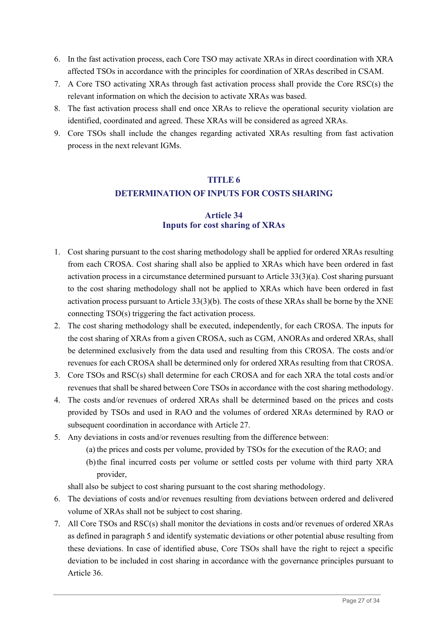- 6. In the fast activation process, each Core TSO may activate XRAs in direct coordination with XRA affected TSOs in accordance with the principles for coordination of XRAs described in CSAM.
- 7. A Core TSO activating XRAs through fast activation process shall provide the Core RSC(s) the relevant information on which the decision to activate XRAs was based.
- 8. The fast activation process shall end once XRAs to relieve the operational security violation are identified, coordinated and agreed. These XRAs will be considered as agreed XRAs.
- 9. Core TSOs shall include the changes regarding activated XRAs resulting from fast activation process in the next relevant IGMs.

# **TITLE 6 DETERMINATION OF INPUTS FOR COSTS SHARING**

# **Article 34 Inputs for cost sharing of XRAs**

- 1. Cost sharing pursuant to the cost sharing methodology shall be applied for ordered XRAs resulting from each CROSA. Cost sharing shall also be applied to XRAs which have been ordered in fast activation process in a circumstance determined pursuant to Article 33(3)(a). Cost sharing pursuant to the cost sharing methodology shall not be applied to XRAs which have been ordered in fast activation process pursuant to Article 33(3)(b). The costs of these XRAs shall be borne by the XNE connecting TSO(s) triggering the fact activation process.
- 2. The cost sharing methodology shall be executed, independently, for each CROSA. The inputs for the cost sharing of XRAs from a given CROSA, such as CGM, ANORAs and ordered XRAs, shall be determined exclusively from the data used and resulting from this CROSA. The costs and/or revenues for each CROSA shall be determined only for ordered XRAs resulting from that CROSA.
- 3. Core TSOs and RSC(s) shall determine for each CROSA and for each XRA the total costs and/or revenues that shall be shared between Core TSOs in accordance with the cost sharing methodology.
- 4. The costs and/or revenues of ordered XRAs shall be determined based on the prices and costs provided by TSOs and used in RAO and the volumes of ordered XRAs determined by RAO or subsequent coordination in accordance with Article 27.
- 5. Any deviations in costs and/or revenues resulting from the difference between:
	- (a) the prices and costs per volume, provided by TSOs for the execution of the RAO; and
	- (b)the final incurred costs per volume or settled costs per volume with third party XRA provider,

shall also be subject to cost sharing pursuant to the cost sharing methodology.

- 6. The deviations of costs and/or revenues resulting from deviations between ordered and delivered volume of XRAs shall not be subject to cost sharing.
- 7. All Core TSOs and RSC(s) shall monitor the deviations in costs and/or revenues of ordered XRAs as defined in paragraph 5 and identify systematic deviations or other potential abuse resulting from these deviations. In case of identified abuse, Core TSOs shall have the right to reject a specific deviation to be included in cost sharing in accordance with the governance principles pursuant to Article 36.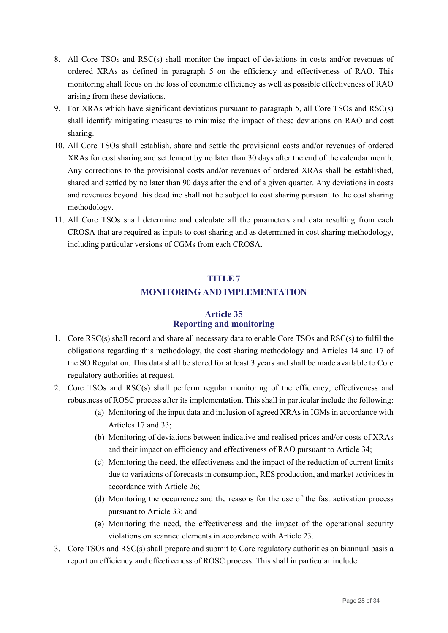- 8. All Core TSOs and RSC(s) shall monitor the impact of deviations in costs and/or revenues of ordered XRAs as defined in paragraph 5 on the efficiency and effectiveness of RAO. This monitoring shall focus on the loss of economic efficiency as well as possible effectiveness of RAO arising from these deviations.
- 9. For XRAs which have significant deviations pursuant to paragraph 5, all Core TSOs and RSC(s) shall identify mitigating measures to minimise the impact of these deviations on RAO and cost sharing.
- 10. All Core TSOs shall establish, share and settle the provisional costs and/or revenues of ordered XRAs for cost sharing and settlement by no later than 30 days after the end of the calendar month. Any corrections to the provisional costs and/or revenues of ordered XRAs shall be established, shared and settled by no later than 90 days after the end of a given quarter. Any deviations in costs and revenues beyond this deadline shall not be subject to cost sharing pursuant to the cost sharing methodology.
- 11. All Core TSOs shall determine and calculate all the parameters and data resulting from each CROSA that are required as inputs to cost sharing and as determined in cost sharing methodology, including particular versions of CGMs from each CROSA.

# **TITLE 7 MONITORING AND IMPLEMENTATION**

# **Article 35 Reporting and monitoring**

- 1. Core RSC(s) shall record and share all necessary data to enable Core TSOs and RSC(s) to fulfil the obligations regarding this methodology, the cost sharing methodology and Articles 14 and 17 of the SO Regulation. This data shall be stored for at least 3 years and shall be made available to Core regulatory authorities at request.
- 2. Core TSOs and RSC(s) shall perform regular monitoring of the efficiency, effectiveness and robustness of ROSC process after its implementation. This shall in particular include the following:
	- (a) Monitoring of the input data and inclusion of agreed XRAs in IGMs in accordance with Articles 17 and 33;
	- (b) Monitoring of deviations between indicative and realised prices and/or costs of XRAs and their impact on efficiency and effectiveness of RAO pursuant to Article 34;
	- (c) Monitoring the need, the effectiveness and the impact of the reduction of current limits due to variations of forecasts in consumption, RES production, and market activities in accordance with Article 26;
	- (d) Monitoring the occurrence and the reasons for the use of the fast activation process pursuant to Article 33; and
	- (e) Monitoring the need, the effectiveness and the impact of the operational security violations on scanned elements in accordance with Article 23.
- 3. Core TSOs and RSC(s) shall prepare and submit to Core regulatory authorities on biannual basis a report on efficiency and effectiveness of ROSC process. This shall in particular include: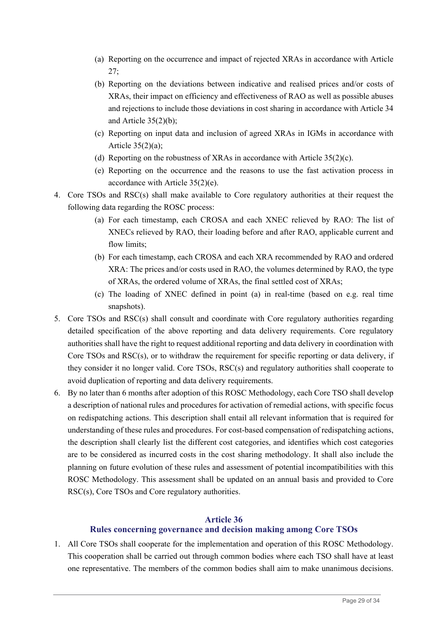- (a) Reporting on the occurrence and impact of rejected XRAs in accordance with Article 27;
- (b) Reporting on the deviations between indicative and realised prices and/or costs of XRAs, their impact on efficiency and effectiveness of RAO as well as possible abuses and rejections to include those deviations in cost sharing in accordance with Article 34 and Article 35(2)(b);
- (c) Reporting on input data and inclusion of agreed XRAs in IGMs in accordance with Article 35(2)(a);
- (d) Reporting on the robustness of XRAs in accordance with Article  $35(2)(c)$ .
- (e) Reporting on the occurrence and the reasons to use the fast activation process in accordance with Article 35(2)(e).
- 4. Core TSOs and RSC(s) shall make available to Core regulatory authorities at their request the following data regarding the ROSC process:
	- (a) For each timestamp, each CROSA and each XNEC relieved by RAO: The list of XNECs relieved by RAO, their loading before and after RAO, applicable current and flow limits;
	- (b) For each timestamp, each CROSA and each XRA recommended by RAO and ordered XRA: The prices and/or costs used in RAO, the volumes determined by RAO, the type of XRAs, the ordered volume of XRAs, the final settled cost of XRAs;
	- (c) The loading of XNEC defined in point (a) in real-time (based on e.g. real time snapshots).
- 5. Core TSOs and RSC(s) shall consult and coordinate with Core regulatory authorities regarding detailed specification of the above reporting and data delivery requirements. Core regulatory authorities shall have the right to request additional reporting and data delivery in coordination with Core TSOs and RSC(s), or to withdraw the requirement for specific reporting or data delivery, if they consider it no longer valid. Core TSOs, RSC(s) and regulatory authorities shall cooperate to avoid duplication of reporting and data delivery requirements.
- 6. By no later than 6 months after adoption of this ROSC Methodology, each Core TSO shall develop a description of national rules and procedures for activation of remedial actions, with specific focus on redispatching actions. This description shall entail all relevant information that is required for understanding of these rules and procedures. For cost-based compensation of redispatching actions, the description shall clearly list the different cost categories, and identifies which cost categories are to be considered as incurred costs in the cost sharing methodology. It shall also include the planning on future evolution of these rules and assessment of potential incompatibilities with this ROSC Methodology. This assessment shall be updated on an annual basis and provided to Core RSC(s), Core TSOs and Core regulatory authorities.

# **Article 36**

# **Rules concerning governance and decision making among Core TSOs**

1. All Core TSOs shall cooperate for the implementation and operation of this ROSC Methodology. This cooperation shall be carried out through common bodies where each TSO shall have at least one representative. The members of the common bodies shall aim to make unanimous decisions.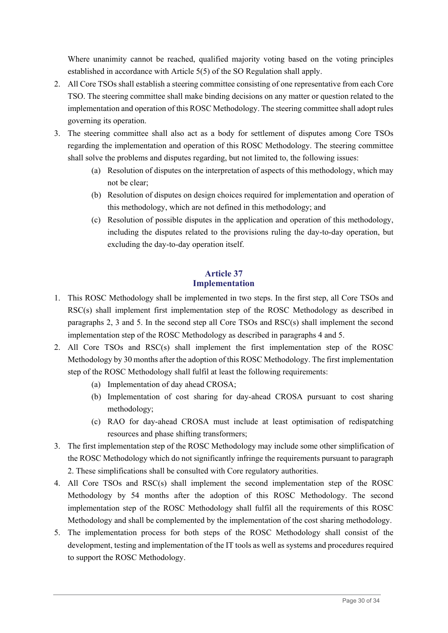Where unanimity cannot be reached, qualified majority voting based on the voting principles established in accordance with Article 5(5) of the SO Regulation shall apply.

- 2. All Core TSOs shall establish a steering committee consisting of one representative from each Core TSO. The steering committee shall make binding decisions on any matter or question related to the implementation and operation of this ROSC Methodology. The steering committee shall adopt rules governing its operation.
- 3. The steering committee shall also act as a body for settlement of disputes among Core TSOs regarding the implementation and operation of this ROSC Methodology. The steering committee shall solve the problems and disputes regarding, but not limited to, the following issues:
	- (a) Resolution of disputes on the interpretation of aspects of this methodology, which may not be clear;
	- (b) Resolution of disputes on design choices required for implementation and operation of this methodology, which are not defined in this methodology; and
	- (c) Resolution of possible disputes in the application and operation of this methodology, including the disputes related to the provisions ruling the day-to-day operation, but excluding the day-to-day operation itself.

# **Article 37 Implementation**

- 1. This ROSC Methodology shall be implemented in two steps. In the first step, all Core TSOs and RSC(s) shall implement first implementation step of the ROSC Methodology as described in paragraphs 2, 3 and 5. In the second step all Core TSOs and RSC(s) shall implement the second implementation step of the ROSC Methodology as described in paragraphs 4 and 5.
- 2. All Core TSOs and RSC(s) shall implement the first implementation step of the ROSC Methodology by 30 months after the adoption of this ROSC Methodology. The first implementation step of the ROSC Methodology shall fulfil at least the following requirements:
	- (a) Implementation of day ahead CROSA;
	- (b) Implementation of cost sharing for day-ahead CROSA pursuant to cost sharing methodology;
	- (c) RAO for day-ahead CROSA must include at least optimisation of redispatching resources and phase shifting transformers;
- 3. The first implementation step of the ROSC Methodology may include some other simplification of the ROSC Methodology which do not significantly infringe the requirements pursuant to paragraph 2. These simplifications shall be consulted with Core regulatory authorities.
- 4. All Core TSOs and RSC(s) shall implement the second implementation step of the ROSC Methodology by 54 months after the adoption of this ROSC Methodology. The second implementation step of the ROSC Methodology shall fulfil all the requirements of this ROSC Methodology and shall be complemented by the implementation of the cost sharing methodology.
- 5. The implementation process for both steps of the ROSC Methodology shall consist of the development, testing and implementation of the IT tools as well as systems and procedures required to support the ROSC Methodology.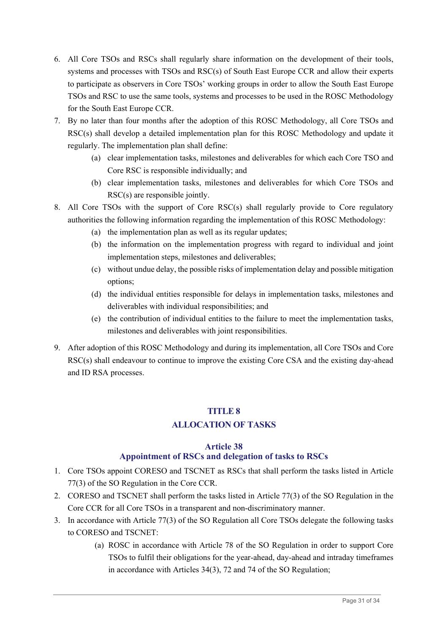- 6. All Core TSOs and RSCs shall regularly share information on the development of their tools, systems and processes with TSOs and RSC(s) of South East Europe CCR and allow their experts to participate as observers in Core TSOs' working groups in order to allow the South East Europe TSOs and RSC to use the same tools, systems and processes to be used in the ROSC Methodology for the South East Europe CCR.
- 7. By no later than four months after the adoption of this ROSC Methodology, all Core TSOs and RSC(s) shall develop a detailed implementation plan for this ROSC Methodology and update it regularly. The implementation plan shall define:
	- (a) clear implementation tasks, milestones and deliverables for which each Core TSO and Core RSC is responsible individually; and
	- (b) clear implementation tasks, milestones and deliverables for which Core TSOs and RSC(s) are responsible jointly.
- 8. All Core TSOs with the support of Core RSC(s) shall regularly provide to Core regulatory authorities the following information regarding the implementation of this ROSC Methodology:
	- (a) the implementation plan as well as its regular updates;
	- (b) the information on the implementation progress with regard to individual and joint implementation steps, milestones and deliverables;
	- (c) without undue delay, the possible risks of implementation delay and possible mitigation options;
	- (d) the individual entities responsible for delays in implementation tasks, milestones and deliverables with individual responsibilities; and
	- (e) the contribution of individual entities to the failure to meet the implementation tasks, milestones and deliverables with joint responsibilities.
- 9. After adoption of this ROSC Methodology and during its implementation, all Core TSOs and Core RSC(s) shall endeavour to continue to improve the existing Core CSA and the existing day-ahead and ID RSA processes.

# **TITLE 8**

# **ALLOCATION OF TASKS**

# **Article 38**

# **Appointment of RSCs and delegation of tasks to RSCs**

- 1. Core TSOs appoint CORESO and TSCNET as RSCs that shall perform the tasks listed in Article 77(3) of the SO Regulation in the Core CCR.
- 2. CORESO and TSCNET shall perform the tasks listed in Article 77(3) of the SO Regulation in the Core CCR for all Core TSOs in a transparent and non-discriminatory manner.
- 3. In accordance with Article 77(3) of the SO Regulation all Core TSOs delegate the following tasks to CORESO and TSCNET:
	- (a) ROSC in accordance with Article 78 of the SO Regulation in order to support Core TSOs to fulfil their obligations for the year-ahead, day-ahead and intraday timeframes in accordance with Articles 34(3), 72 and 74 of the SO Regulation;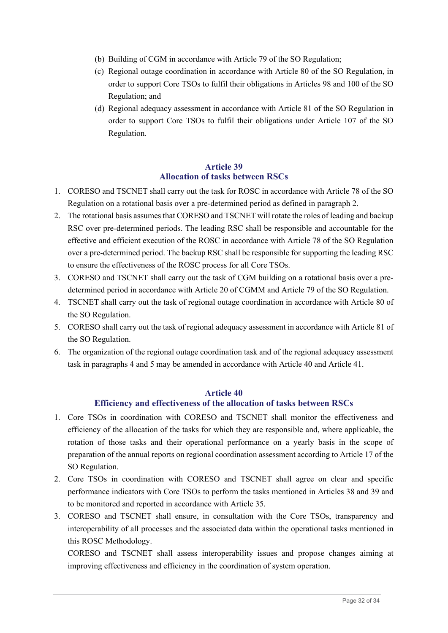- (b) Building of CGM in accordance with Article 79 of the SO Regulation;
- (c) Regional outage coordination in accordance with Article 80 of the SO Regulation, in order to support Core TSOs to fulfil their obligations in Articles 98 and 100 of the SO Regulation; and
- (d) Regional adequacy assessment in accordance with Article 81 of the SO Regulation in order to support Core TSOs to fulfil their obligations under Article 107 of the SO Regulation.

#### **Article 39 Allocation of tasks between RSCs**

- 1. CORESO and TSCNET shall carry out the task for ROSC in accordance with Article 78 of the SO Regulation on a rotational basis over a pre-determined period as defined in paragraph 2.
- 2. The rotational basis assumes that CORESO and TSCNET will rotate the roles of leading and backup RSC over pre-determined periods. The leading RSC shall be responsible and accountable for the effective and efficient execution of the ROSC in accordance with Article 78 of the SO Regulation over a pre-determined period. The backup RSC shall be responsible for supporting the leading RSC to ensure the effectiveness of the ROSC process for all Core TSOs.
- 3. CORESO and TSCNET shall carry out the task of CGM building on a rotational basis over a predetermined period in accordance with Article 20 of CGMM and Article 79 of the SO Regulation.
- 4. TSCNET shall carry out the task of regional outage coordination in accordance with Article 80 of the SO Regulation.
- 5. CORESO shall carry out the task of regional adequacy assessment in accordance with Article 81 of the SO Regulation.
- 6. The organization of the regional outage coordination task and of the regional adequacy assessment task in paragraphs 4 and 5 may be amended in accordance with Article 40 and Article 41.

#### **Article 40**

#### **Efficiency and effectiveness of the allocation of tasks between RSCs**

- 1. Core TSOs in coordination with CORESO and TSCNET shall monitor the effectiveness and efficiency of the allocation of the tasks for which they are responsible and, where applicable, the rotation of those tasks and their operational performance on a yearly basis in the scope of preparation of the annual reports on regional coordination assessment according to Article 17 of the SO Regulation.
- 2. Core TSOs in coordination with CORESO and TSCNET shall agree on clear and specific performance indicators with Core TSOs to perform the tasks mentioned in Articles 38 and 39 and to be monitored and reported in accordance with Article 35.
- 3. CORESO and TSCNET shall ensure, in consultation with the Core TSOs, transparency and interoperability of all processes and the associated data within the operational tasks mentioned in this ROSC Methodology.

CORESO and TSCNET shall assess interoperability issues and propose changes aiming at improving effectiveness and efficiency in the coordination of system operation.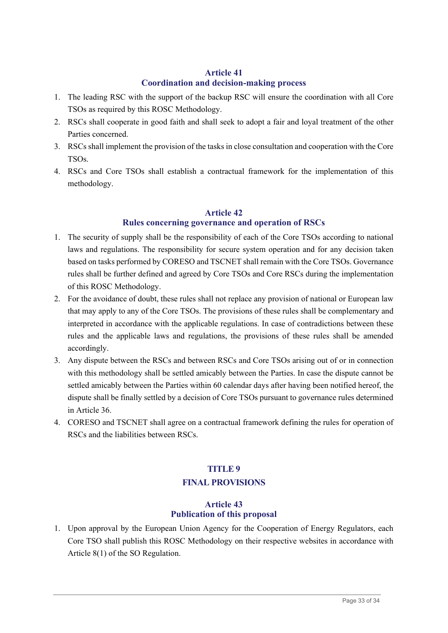# **Article 41 Coordination and decision-making process**

- 1. The leading RSC with the support of the backup RSC will ensure the coordination with all Core TSOs as required by this ROSC Methodology.
- 2. RSCs shall cooperate in good faith and shall seek to adopt a fair and loyal treatment of the other Parties concerned.
- 3. RSCs shall implement the provision of the tasks in close consultation and cooperation with the Core TSOs.
- 4. RSCs and Core TSOs shall establish a contractual framework for the implementation of this methodology.

# **Article 42**

# **Rules concerning governance and operation of RSCs**

- 1. The security of supply shall be the responsibility of each of the Core TSOs according to national laws and regulations. The responsibility for secure system operation and for any decision taken based on tasks performed by CORESO and TSCNET shall remain with the Core TSOs. Governance rules shall be further defined and agreed by Core TSOs and Core RSCs during the implementation of this ROSC Methodology.
- 2. For the avoidance of doubt, these rules shall not replace any provision of national or European law that may apply to any of the Core TSOs. The provisions of these rules shall be complementary and interpreted in accordance with the applicable regulations. In case of contradictions between these rules and the applicable laws and regulations, the provisions of these rules shall be amended accordingly.
- 3. Any dispute between the RSCs and between RSCs and Core TSOs arising out of or in connection with this methodology shall be settled amicably between the Parties. In case the dispute cannot be settled amicably between the Parties within 60 calendar days after having been notified hereof, the dispute shall be finally settled by a decision of Core TSOs pursuant to governance rules determined in Article 36.
- 4. CORESO and TSCNET shall agree on a contractual framework defining the rules for operation of RSCs and the liabilities between RSCs.

# **TITLE 9 FINAL PROVISIONS**

# **Article 43 Publication of this proposal**

1. Upon approval by the European Union Agency for the Cooperation of Energy Regulators, each Core TSO shall publish this ROSC Methodology on their respective websites in accordance with Article 8(1) of the SO Regulation.